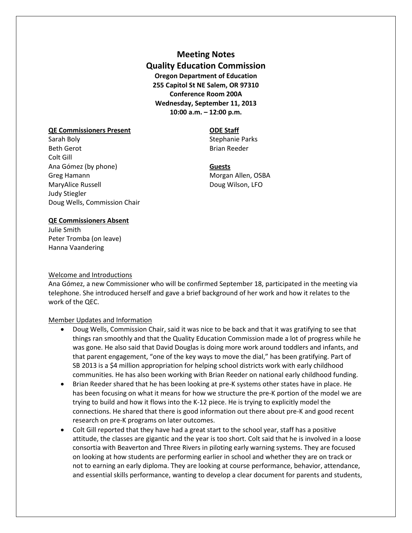**Meeting Notes Quality Education Commission Oregon Department of Education 255 Capitol St NE Salem, OR 97310 Conference Room 200A Wednesday, September 11, 2013 10:00 a.m. – 12:00 p.m.**

### **QE Commissioners Present ODE Staff**

Sarah Boly **Sarah Boly** Stephanie Parks Beth Gerot **Brian Reeder** Brian Reeder Colt Gill Ana Gómez (by phone) **Guests** Greg Hamann Morgan Allen, OSBA MaryAlice Russell **Doug Wilson, LFO** Judy Stiegler Doug Wells, Commission Chair

### **QE Commissioners Absent**

Julie Smith Peter Tromba (on leave) Hanna Vaandering

## Welcome and Introductions

Ana Gómez, a new Commissioner who will be confirmed September 18, participated in the meeting via telephone. She introduced herself and gave a brief background of her work and how it relates to the work of the QEC.

## Member Updates and Information

- Doug Wells, Commission Chair, said it was nice to be back and that it was gratifying to see that things ran smoothly and that the Quality Education Commission made a lot of progress while he was gone. He also said that David Douglas is doing more work around toddlers and infants, and that parent engagement, "one of the key ways to move the dial," has been gratifying. Part of SB 2013 is a \$4 million appropriation for helping school districts work with early childhood communities. He has also been working with Brian Reeder on national early childhood funding.
- Brian Reeder shared that he has been looking at pre-K systems other states have in place. He has been focusing on what it means for how we structure the pre-K portion of the model we are trying to build and how it flows into the K-12 piece. He is trying to explicitly model the connections. He shared that there is good information out there about pre-K and good recent research on pre-K programs on later outcomes.
- Colt Gill reported that they have had a great start to the school year, staff has a positive attitude, the classes are gigantic and the year is too short. Colt said that he is involved in a loose consortia with Beaverton and Three Rivers in piloting early warning systems. They are focused on looking at how students are performing earlier in school and whether they are on track or not to earning an early diploma. They are looking at course performance, behavior, attendance, and essential skills performance, wanting to develop a clear document for parents and students,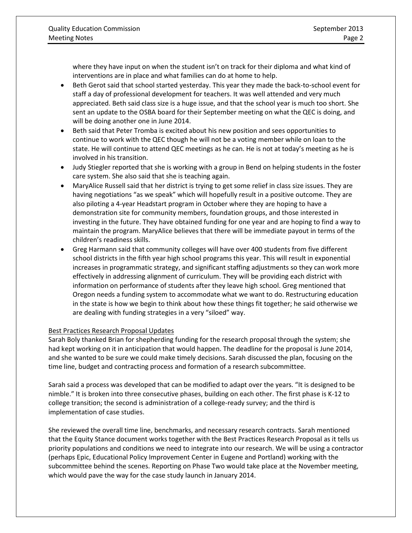where they have input on when the student isn't on track for their diploma and what kind of interventions are in place and what families can do at home to help.

- Beth Gerot said that school started yesterday. This year they made the back-to-school event for staff a day of professional development for teachers. It was well attended and very much appreciated. Beth said class size is a huge issue, and that the school year is much too short. She sent an update to the OSBA board for their September meeting on what the QEC is doing, and will be doing another one in June 2014.
- Beth said that Peter Tromba is excited about his new position and sees opportunities to continue to work with the QEC though he will not be a voting member while on loan to the state. He will continue to attend QEC meetings as he can. He is not at today's meeting as he is involved in his transition.
- Judy Stiegler reported that she is working with a group in Bend on helping students in the foster care system. She also said that she is teaching again.
- MaryAlice Russell said that her district is trying to get some relief in class size issues. They are having negotiations "as we speak" which will hopefully result in a positive outcome. They are also piloting a 4-year Headstart program in October where they are hoping to have a demonstration site for community members, foundation groups, and those interested in investing in the future. They have obtained funding for one year and are hoping to find a way to maintain the program. MaryAlice believes that there will be immediate payout in terms of the children's readiness skills.
- Greg Harmann said that community colleges will have over 400 students from five different school districts in the fifth year high school programs this year. This will result in exponential increases in programmatic strategy, and significant staffing adjustments so they can work more effectively in addressing alignment of curriculum. They will be providing each district with information on performance of students after they leave high school. Greg mentioned that Oregon needs a funding system to accommodate what we want to do. Restructuring education in the state is how we begin to think about how these things fit together; he said otherwise we are dealing with funding strategies in a very "siloed" way.

# Best Practices Research Proposal Updates

Sarah Boly thanked Brian for shepherding funding for the research proposal through the system; she had kept working on it in anticipation that would happen. The deadline for the proposal is June 2014, and she wanted to be sure we could make timely decisions. Sarah discussed the plan, focusing on the time line, budget and contracting process and formation of a research subcommittee.

Sarah said a process was developed that can be modified to adapt over the years. "It is designed to be nimble." It is broken into three consecutive phases, building on each other. The first phase is K-12 to college transition; the second is administration of a college-ready survey; and the third is implementation of case studies.

She reviewed the overall time line, benchmarks, and necessary research contracts. Sarah mentioned that the Equity Stance document works together with the Best Practices Research Proposal as it tells us priority populations and conditions we need to integrate into our research. We will be using a contractor (perhaps Epic, Educational Policy Improvement Center in Eugene and Portland) working with the subcommittee behind the scenes. Reporting on Phase Two would take place at the November meeting, which would pave the way for the case study launch in January 2014.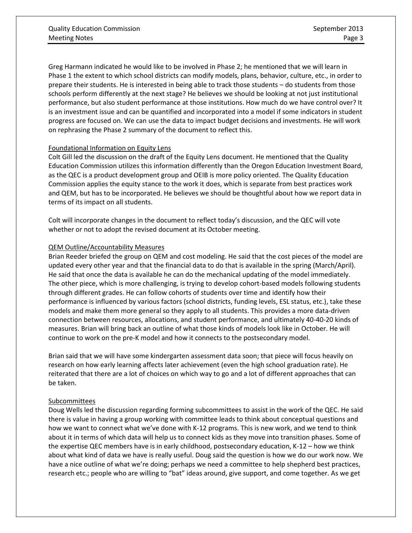Greg Harmann indicated he would like to be involved in Phase 2; he mentioned that we will learn in Phase 1 the extent to which school districts can modify models, plans, behavior, culture, etc., in order to prepare their students. He is interested in being able to track those students – do students from those schools perform differently at the next stage? He believes we should be looking at not just institutional performance, but also student performance at those institutions. How much do we have control over? It is an investment issue and can be quantified and incorporated into a model if some indicators in student progress are focused on. We can use the data to impact budget decisions and investments. He will work on rephrasing the Phase 2 summary of the document to reflect this.

# Foundational Information on Equity Lens

Colt Gill led the discussion on the draft of the Equity Lens document. He mentioned that the Quality Education Commission utilizes this information differently than the Oregon Education Investment Board, as the QEC is a product development group and OEIB is more policy oriented. The Quality Education Commission applies the equity stance to the work it does, which is separate from best practices work and QEM, but has to be incorporated. He believes we should be thoughtful about how we report data in terms of its impact on all students.

Colt will incorporate changes in the document to reflect today's discussion, and the QEC will vote whether or not to adopt the revised document at its October meeting.

# QEM Outline/Accountability Measures

Brian Reeder briefed the group on QEM and cost modeling. He said that the cost pieces of the model are updated every other year and that the financial data to do that is available in the spring (March/April). He said that once the data is available he can do the mechanical updating of the model immediately. The other piece, which is more challenging, is trying to develop cohort-based models following students through different grades. He can follow cohorts of students over time and identify how their performance is influenced by various factors (school districts, funding levels, ESL status, etc.), take these models and make them more general so they apply to all students. This provides a more data-driven connection between resources, allocations, and student performance, and ultimately 40-40-20 kinds of measures. Brian will bring back an outline of what those kinds of models look like in October. He will continue to work on the pre-K model and how it connects to the postsecondary model.

Brian said that we will have some kindergarten assessment data soon; that piece will focus heavily on research on how early learning affects later achievement (even the high school graduation rate). He reiterated that there are a lot of choices on which way to go and a lot of different approaches that can be taken.

# Subcommittees

Doug Wells led the discussion regarding forming subcommittees to assist in the work of the QEC. He said there is value in having a group working with committee leads to think about conceptual questions and how we want to connect what we've done with K-12 programs. This is new work, and we tend to think about it in terms of which data will help us to connect kids as they move into transition phases. Some of the expertise QEC members have is in early childhood, postsecondary education, K-12 – how we think about what kind of data we have is really useful. Doug said the question is how we do our work now. We have a nice outline of what we're doing; perhaps we need a committee to help shepherd best practices, research etc.; people who are willing to "bat" ideas around, give support, and come together. As we get